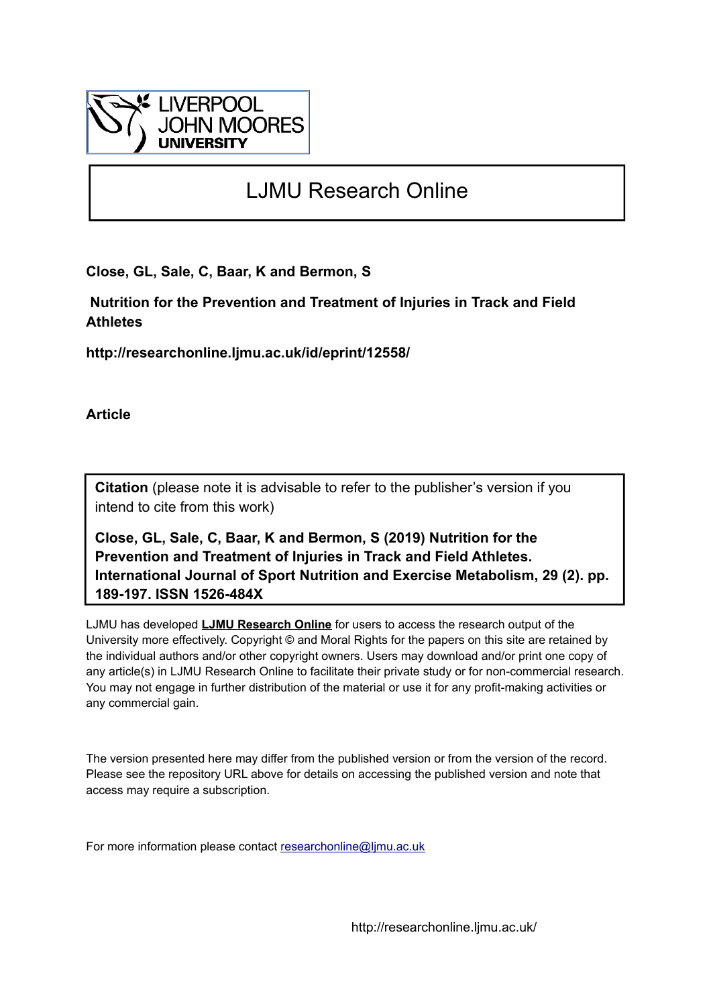

# LJMU Research Online

**Close, GL, Sale, C, Baar, K and Bermon, S**

 **Nutrition for the Prevention and Treatment of Injuries in Track and Field Athletes**

**http://researchonline.ljmu.ac.uk/id/eprint/12558/**

**Article**

**Citation** (please note it is advisable to refer to the publisher's version if you intend to cite from this work)

**Close, GL, Sale, C, Baar, K and Bermon, S (2019) Nutrition for the Prevention and Treatment of Injuries in Track and Field Athletes. International Journal of Sport Nutrition and Exercise Metabolism, 29 (2). pp. 189-197. ISSN 1526-484X** 

LJMU has developed **[LJMU Research Online](http://researchonline.ljmu.ac.uk/)** for users to access the research output of the University more effectively. Copyright © and Moral Rights for the papers on this site are retained by the individual authors and/or other copyright owners. Users may download and/or print one copy of any article(s) in LJMU Research Online to facilitate their private study or for non-commercial research. You may not engage in further distribution of the material or use it for any profit-making activities or any commercial gain.

The version presented here may differ from the published version or from the version of the record. Please see the repository URL above for details on accessing the published version and note that access may require a subscription.

For more information please contact [researchonline@ljmu.ac.uk](mailto:researchonline@ljmu.ac.uk)

http://researchonline.ljmu.ac.uk/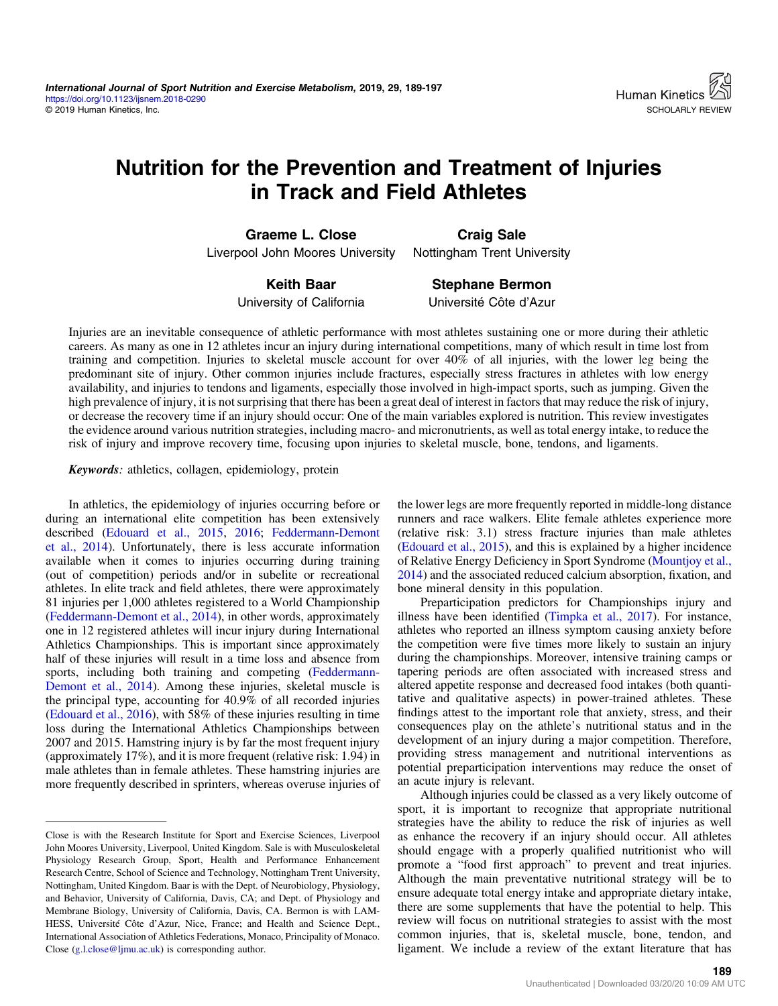# Nutrition for the Prevention and Treatment of Injuries in Track and Field Athletes

Graeme L. Close Liverpool John Moores University

Craig Sale Nottingham Trent University

Keith Baar University of California

Stephane Bermon Université Côte d'Azur

Injuries are an inevitable consequence of athletic performance with most athletes sustaining one or more during their athletic careers. As many as one in 12 athletes incur an injury during international competitions, many of which result in time lost from training and competition. Injuries to skeletal muscle account for over 40% of all injuries, with the lower leg being the predominant site of injury. Other common injuries include fractures, especially stress fractures in athletes with low energy availability, and injuries to tendons and ligaments, especially those involved in high-impact sports, such as jumping. Given the high prevalence of injury, it is not surprising that there has been a great deal of interest in factors that may reduce the risk of injury, or decrease the recovery time if an injury should occur: One of the main variables explored is nutrition. This review investigates the evidence around various nutrition strategies, including macro- and micronutrients, as well as total energy intake, to reduce the risk of injury and improve recovery time, focusing upon injuries to skeletal muscle, bone, tendons, and ligaments.

Keywords: athletics, collagen, epidemiology, protein

In athletics, the epidemiology of injuries occurring before or during an international elite competition has been extensively described ([Edouard et al., 2015,](#page-7-0) [2016;](#page-7-0) [Feddermann-Demont](#page-7-0) [et al., 2014](#page-7-0)). Unfortunately, there is less accurate information available when it comes to injuries occurring during training (out of competition) periods and/or in subelite or recreational athletes. In elite track and field athletes, there were approximately 81 injuries per 1,000 athletes registered to a World Championship [\(Feddermann-Demont et al., 2014\)](#page-7-0), in other words, approximately one in 12 registered athletes will incur injury during International Athletics Championships. This is important since approximately half of these injuries will result in a time loss and absence from sports, including both training and competing [\(Feddermann-](#page-7-0)[Demont et al., 2014](#page-7-0)). Among these injuries, skeletal muscle is the principal type, accounting for 40.9% of all recorded injuries [\(Edouard et al., 2016\)](#page-7-0), with 58% of these injuries resulting in time loss during the International Athletics Championships between 2007 and 2015. Hamstring injury is by far the most frequent injury (approximately 17%), and it is more frequent (relative risk: 1.94) in male athletes than in female athletes. These hamstring injuries are more frequently described in sprinters, whereas overuse injuries of

Close is with the Research Institute for Sport and Exercise Sciences, Liverpool John Moores University, Liverpool, United Kingdom. Sale is with Musculoskeletal Physiology Research Group, Sport, Health and Performance Enhancement Research Centre, School of Science and Technology, Nottingham Trent University, Nottingham, United Kingdom. Baar is with the Dept. of Neurobiology, Physiology, and Behavior, University of California, Davis, CA; and Dept. of Physiology and Membrane Biology, University of California, Davis, CA. Bermon is with LAM-HESS, Université Côte d'Azur, Nice, France; and Health and Science Dept., International Association of Athletics Federations, Monaco, Principality of Monaco. Close [\(g.l.close@ljmu.ac.uk](mailto:g.l.close@ljmu.ac.uk)) is corresponding author.

the lower legs are more frequently reported in middle-long distance runners and race walkers. Elite female athletes experience more (relative risk: 3.1) stress fracture injuries than male athletes [\(Edouard et al., 2015](#page-7-0)), and this is explained by a higher incidence of Relative Energy Deficiency in Sport Syndrome [\(Mountjoy et al.,](#page-8-0) [2014](#page-8-0)) and the associated reduced calcium absorption, fixation, and bone mineral density in this population.

Preparticipation predictors for Championships injury and illness have been identified ([Timpka et al., 2017\)](#page-9-0). For instance, athletes who reported an illness symptom causing anxiety before the competition were five times more likely to sustain an injury during the championships. Moreover, intensive training camps or tapering periods are often associated with increased stress and altered appetite response and decreased food intakes (both quantitative and qualitative aspects) in power-trained athletes. These findings attest to the important role that anxiety, stress, and their consequences play on the athlete's nutritional status and in the development of an injury during a major competition. Therefore, providing stress management and nutritional interventions as potential preparticipation interventions may reduce the onset of an acute injury is relevant.

Although injuries could be classed as a very likely outcome of sport, it is important to recognize that appropriate nutritional strategies have the ability to reduce the risk of injuries as well as enhance the recovery if an injury should occur. All athletes should engage with a properly qualified nutritionist who will promote a "food first approach" to prevent and treat injuries. Although the main preventative nutritional strategy will be to ensure adequate total energy intake and appropriate dietary intake, there are some supplements that have the potential to help. This review will focus on nutritional strategies to assist with the most common injuries, that is, skeletal muscle, bone, tendon, and ligament. We include a review of the extant literature that has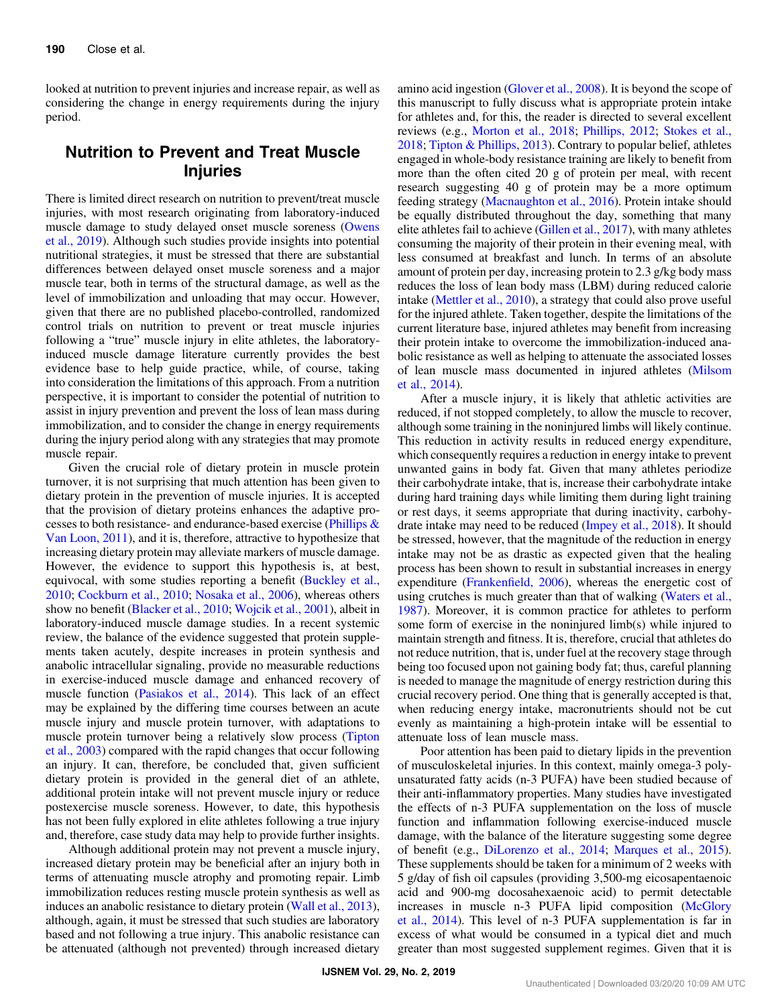looked at nutrition to prevent injuries and increase repair, as well as considering the change in energy requirements during the injury period.

## Nutrition to Prevent and Treat Muscle Injuries

There is limited direct research on nutrition to prevent/treat muscle injuries, with most research originating from laboratory-induced muscle damage to study delayed onset muscle soreness [\(Owens](#page-8-0) [et al., 2019](#page-8-0)). Although such studies provide insights into potential nutritional strategies, it must be stressed that there are substantial differences between delayed onset muscle soreness and a major muscle tear, both in terms of the structural damage, as well as the level of immobilization and unloading that may occur. However, given that there are no published placebo-controlled, randomized control trials on nutrition to prevent or treat muscle injuries following a "true" muscle injury in elite athletes, the laboratoryinduced muscle damage literature currently provides the best evidence base to help guide practice, while, of course, taking into consideration the limitations of this approach. From a nutrition perspective, it is important to consider the potential of nutrition to assist in injury prevention and prevent the loss of lean mass during immobilization, and to consider the change in energy requirements during the injury period along with any strategies that may promote muscle repair.

Given the crucial role of dietary protein in muscle protein turnover, it is not surprising that much attention has been given to dietary protein in the prevention of muscle injuries. It is accepted that the provision of dietary proteins enhances the adaptive processes to both resistance- and endurance-based exercise [\(Phillips &](#page-9-0) [Van Loon, 2011\)](#page-9-0), and it is, therefore, attractive to hypothesize that increasing dietary protein may alleviate markers of muscle damage. However, the evidence to support this hypothesis is, at best, equivocal, with some studies reporting a benefit [\(Buckley et al.,](#page-6-0) [2010](#page-6-0); [Cockburn et al., 2010](#page-7-0); [Nosaka et al., 2006](#page-8-0)), whereas others show no benefit ([Blacker et al., 2010;](#page-6-0) [Wojcik et al., 2001](#page-9-0)), albeit in laboratory-induced muscle damage studies. In a recent systemic review, the balance of the evidence suggested that protein supplements taken acutely, despite increases in protein synthesis and anabolic intracellular signaling, provide no measurable reductions in exercise-induced muscle damage and enhanced recovery of muscle function [\(Pasiakos et al., 2014\)](#page-8-0). This lack of an effect may be explained by the differing time courses between an acute muscle injury and muscle protein turnover, with adaptations to muscle protein turnover being a relatively slow process ([Tipton](#page-9-0) [et al., 2003\)](#page-9-0) compared with the rapid changes that occur following an injury. It can, therefore, be concluded that, given sufficient dietary protein is provided in the general diet of an athlete, additional protein intake will not prevent muscle injury or reduce postexercise muscle soreness. However, to date, this hypothesis has not been fully explored in elite athletes following a true injury and, therefore, case study data may help to provide further insights.

Although additional protein may not prevent a muscle injury, increased dietary protein may be beneficial after an injury both in terms of attenuating muscle atrophy and promoting repair. Limb immobilization reduces resting muscle protein synthesis as well as induces an anabolic resistance to dietary protein ([Wall et al., 2013](#page-9-0)), although, again, it must be stressed that such studies are laboratory based and not following a true injury. This anabolic resistance can be attenuated (although not prevented) through increased dietary

amino acid ingestion [\(Glover et al., 2008](#page-7-0)). It is beyond the scope of this manuscript to fully discuss what is appropriate protein intake for athletes and, for this, the reader is directed to several excellent reviews (e.g., [Morton et al., 2018;](#page-8-0) [Phillips, 2012;](#page-9-0) [Stokes et al.,](#page-9-0) [2018](#page-9-0); [Tipton & Phillips, 2013](#page-9-0)). Contrary to popular belief, athletes engaged in whole-body resistance training are likely to benefit from more than the often cited 20 g of protein per meal, with recent research suggesting 40 g of protein may be a more optimum feeding strategy [\(Macnaughton et al., 2016\)](#page-8-0). Protein intake should be equally distributed throughout the day, something that many elite athletes fail to achieve [\(Gillen et al., 2017](#page-7-0)), with many athletes consuming the majority of their protein in their evening meal, with less consumed at breakfast and lunch. In terms of an absolute amount of protein per day, increasing protein to 2.3 g/kg body mass reduces the loss of lean body mass (LBM) during reduced calorie intake ([Mettler et al., 2010](#page-8-0)), a strategy that could also prove useful for the injured athlete. Taken together, despite the limitations of the current literature base, injured athletes may benefit from increasing their protein intake to overcome the immobilization-induced anabolic resistance as well as helping to attenuate the associated losses of lean muscle mass documented in injured athletes [\(Milsom](#page-8-0) [et al., 2014\)](#page-8-0).

After a muscle injury, it is likely that athletic activities are reduced, if not stopped completely, to allow the muscle to recover, although some training in the noninjured limbs will likely continue. This reduction in activity results in reduced energy expenditure, which consequently requires a reduction in energy intake to prevent unwanted gains in body fat. Given that many athletes periodize their carbohydrate intake, that is, increase their carbohydrate intake during hard training days while limiting them during light training or rest days, it seems appropriate that during inactivity, carbohydrate intake may need to be reduced [\(Impey et al., 2018\)](#page-7-0). It should be stressed, however, that the magnitude of the reduction in energy intake may not be as drastic as expected given that the healing process has been shown to result in substantial increases in energy expenditure (Frankenfi[eld, 2006](#page-7-0)), whereas the energetic cost of using crutches is much greater than that of walking [\(Waters et al.,](#page-9-0) [1987](#page-9-0)). Moreover, it is common practice for athletes to perform some form of exercise in the noninjured limb(s) while injured to maintain strength and fitness. It is, therefore, crucial that athletes do not reduce nutrition, that is, under fuel at the recovery stage through being too focused upon not gaining body fat; thus, careful planning is needed to manage the magnitude of energy restriction during this crucial recovery period. One thing that is generally accepted is that, when reducing energy intake, macronutrients should not be cut evenly as maintaining a high-protein intake will be essential to attenuate loss of lean muscle mass.

Poor attention has been paid to dietary lipids in the prevention of musculoskeletal injuries. In this context, mainly omega-3 polyunsaturated fatty acids (n-3 PUFA) have been studied because of their anti-inflammatory properties. Many studies have investigated the effects of n-3 PUFA supplementation on the loss of muscle function and inflammation following exercise-induced muscle damage, with the balance of the literature suggesting some degree of benefit (e.g., [DiLorenzo et al., 2014](#page-7-0); [Marques et al., 2015](#page-8-0)). These supplements should be taken for a minimum of 2 weeks with 5 g/day of fish oil capsules (providing 3,500-mg eicosapentaenoic acid and 900-mg docosahexaenoic acid) to permit detectable increases in muscle n-3 PUFA lipid composition ([McGlory](#page-8-0) [et al., 2014](#page-8-0)). This level of n-3 PUFA supplementation is far in excess of what would be consumed in a typical diet and much greater than most suggested supplement regimes. Given that it is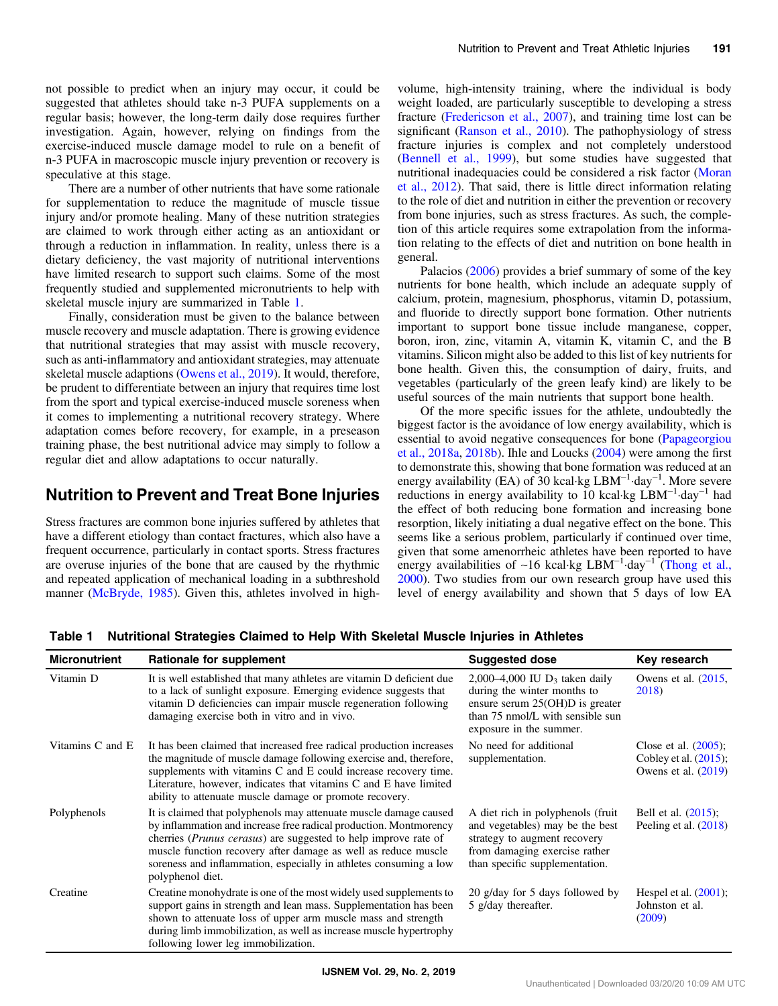not possible to predict when an injury may occur, it could be suggested that athletes should take n-3 PUFA supplements on a regular basis; however, the long-term daily dose requires further investigation. Again, however, relying on findings from the exercise-induced muscle damage model to rule on a benefit of n-3 PUFA in macroscopic muscle injury prevention or recovery is speculative at this stage.

There are a number of other nutrients that have some rationale for supplementation to reduce the magnitude of muscle tissue injury and/or promote healing. Many of these nutrition strategies are claimed to work through either acting as an antioxidant or through a reduction in inflammation. In reality, unless there is a dietary deficiency, the vast majority of nutritional interventions have limited research to support such claims. Some of the most frequently studied and supplemented micronutrients to help with skeletal muscle injury are summarized in Table 1.

Finally, consideration must be given to the balance between muscle recovery and muscle adaptation. There is growing evidence that nutritional strategies that may assist with muscle recovery, such as anti-inflammatory and antioxidant strategies, may attenuate skeletal muscle adaptions ([Owens et al., 2019](#page-8-0)). It would, therefore, be prudent to differentiate between an injury that requires time lost from the sport and typical exercise-induced muscle soreness when it comes to implementing a nutritional recovery strategy. Where adaptation comes before recovery, for example, in a preseason training phase, the best nutritional advice may simply to follow a regular diet and allow adaptations to occur naturally.

## Nutrition to Prevent and Treat Bone Injuries

Stress fractures are common bone injuries suffered by athletes that have a different etiology than contact fractures, which also have a frequent occurrence, particularly in contact sports. Stress fractures are overuse injuries of the bone that are caused by the rhythmic and repeated application of mechanical loading in a subthreshold manner ([McBryde, 1985](#page-8-0)). Given this, athletes involved in highvolume, high-intensity training, where the individual is body weight loaded, are particularly susceptible to developing a stress fracture ([Fredericson et al., 2007\)](#page-7-0), and training time lost can be significant [\(Ranson et al., 2010](#page-9-0)). The pathophysiology of stress fracture injuries is complex and not completely understood [\(Bennell et al., 1999\)](#page-6-0), but some studies have suggested that nutritional inadequacies could be considered a risk factor ([Moran](#page-8-0) [et al., 2012\)](#page-8-0). That said, there is little direct information relating to the role of diet and nutrition in either the prevention or recovery from bone injuries, such as stress fractures. As such, the completion of this article requires some extrapolation from the information relating to the effects of diet and nutrition on bone health in general.

Palacios ([2006\)](#page-8-0) provides a brief summary of some of the key nutrients for bone health, which include an adequate supply of calcium, protein, magnesium, phosphorus, vitamin D, potassium, and fluoride to directly support bone formation. Other nutrients important to support bone tissue include manganese, copper, boron, iron, zinc, vitamin A, vitamin K, vitamin C, and the B vitamins. Silicon might also be added to this list of key nutrients for bone health. Given this, the consumption of dairy, fruits, and vegetables (particularly of the green leafy kind) are likely to be useful sources of the main nutrients that support bone health.

Of the more specific issues for the athlete, undoubtedly the biggest factor is the avoidance of low energy availability, which is essential to avoid negative consequences for bone [\(Papageorgiou](#page-8-0) [et al., 2018a](#page-8-0), [2018b](#page-8-0)). Ihle and Loucks [\(2004](#page-7-0)) were among the first to demonstrate this, showing that bone formation was reduced at an energy availability (EA) of 30 kcal⋅kg LBM<sup>-1</sup>⋅day<sup>-1</sup>. More severe reductions in energy availability to 10 kcal·kg  $\text{LBM}^{-1}$ -day<sup>-1</sup> had the effect of both reducing bone formation and increasing bone resorption, likely initiating a dual negative effect on the bone. This seems like a serious problem, particularly if continued over time, given that some amenorrheic athletes have been reported to have energy availabilities of ∼16 kcal·kg LBM<sup>-1</sup>·day<sup>-1</sup> [\(Thong et al.,](#page-9-0) [2000](#page-9-0)). Two studies from our own research group have used this level of energy availability and shown that 5 days of low EA

| <b>Micronutrient</b> | Rationale for supplement                                                                                                                                                                                                                                                                                                                                                      | <b>Suggested dose</b>                                                                                                                                                   | Key research                                                                 |
|----------------------|-------------------------------------------------------------------------------------------------------------------------------------------------------------------------------------------------------------------------------------------------------------------------------------------------------------------------------------------------------------------------------|-------------------------------------------------------------------------------------------------------------------------------------------------------------------------|------------------------------------------------------------------------------|
| Vitamin D            | It is well established that many athletes are vitamin D deficient due<br>to a lack of sunlight exposure. Emerging evidence suggests that<br>vitamin D deficiencies can impair muscle regeneration following<br>damaging exercise both in vitro and in vivo.                                                                                                                   | 2,000–4,000 IU $D_3$ taken daily<br>during the winter months to<br>ensure serum $25(OH)D$ is greater<br>than 75 nmol/L with sensible sun<br>exposure in the summer.     | Owens et al. $(2015,$<br>2018)                                               |
| Vitamins C and E     | It has been claimed that increased free radical production increases<br>the magnitude of muscle damage following exercise and, therefore,<br>supplements with vitamins C and E could increase recovery time.<br>Literature, however, indicates that vitamins C and E have limited<br>ability to attenuate muscle damage or promote recovery.                                  | No need for additional<br>supplementation.                                                                                                                              | Close et al. $(2005)$ ;<br>Cobley et al. $(2015)$ ;<br>Owens et al. $(2019)$ |
| Polyphenols          | It is claimed that polyphenols may attenuate muscle damage caused<br>by inflammation and increase free radical production. Montmorency<br>cherries ( <i>Prunus cerasus</i> ) are suggested to help improve rate of<br>muscle function recovery after damage as well as reduce muscle<br>soreness and inflammation, especially in athletes consuming a low<br>polyphenol diet. | A diet rich in polyphenols (fruit<br>and vegetables) may be the best<br>strategy to augment recovery<br>from damaging exercise rather<br>than specific supplementation. | Bell et al. $(2015)$ ;<br>Peeling et al. $(2018)$                            |
| Creatine             | Creatine monohydrate is one of the most widely used supplements to<br>support gains in strength and lean mass. Supplementation has been<br>shown to attenuate loss of upper arm muscle mass and strength<br>during limb immobilization, as well as increase muscle hypertrophy<br>following lower leg immobilization.                                                         | 20 g/day for 5 days followed by<br>5 g/day thereafter.                                                                                                                  | Hespel et al. $(2001)$ ;<br>Johnston et al.<br>(2009)                        |

Table 1 Nutritional Strategies Claimed to Help With Skeletal Muscle Injuries in Athletes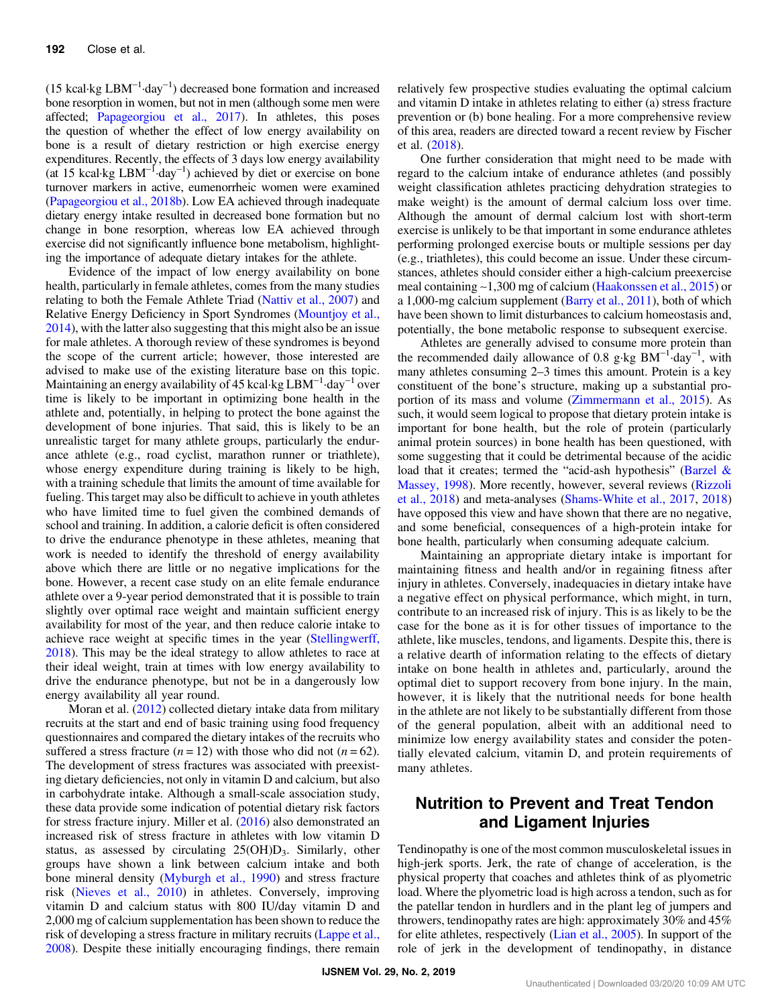(15 kcal·kg  $LBM^{-1}$ ·day<sup>-1</sup>) decreased bone formation and increased bone resorption in women, but not in men (although some men were affected; [Papageorgiou et al., 2017\)](#page-8-0). In athletes, this poses the question of whether the effect of low energy availability on bone is a result of dietary restriction or high exercise energy expenditures. Recently, the effects of 3 days low energy availability (at 15 kcal·kg LBM−<sup>1</sup> ·day−<sup>1</sup> ) achieved by diet or exercise on bone turnover markers in active, eumenorrheic women were examined [\(Papageorgiou et al., 2018b](#page-8-0)). Low EA achieved through inadequate dietary energy intake resulted in decreased bone formation but no change in bone resorption, whereas low EA achieved through exercise did not significantly influence bone metabolism, highlighting the importance of adequate dietary intakes for the athlete.

Evidence of the impact of low energy availability on bone health, particularly in female athletes, comes from the many studies relating to both the Female Athlete Triad [\(Nattiv et al., 2007\)](#page-8-0) and Relative Energy Deficiency in Sport Syndromes ([Mountjoy et al.,](#page-8-0) [2014](#page-8-0)), with the latter also suggesting that this might also be an issue for male athletes. A thorough review of these syndromes is beyond the scope of the current article; however, those interested are advised to make use of the existing literature base on this topic. Maintaining an energy availability of 45 kcal·kg LBM−<sup>1</sup> ·day−<sup>1</sup> over time is likely to be important in optimizing bone health in the athlete and, potentially, in helping to protect the bone against the development of bone injuries. That said, this is likely to be an unrealistic target for many athlete groups, particularly the endurance athlete (e.g., road cyclist, marathon runner or triathlete), whose energy expenditure during training is likely to be high, with a training schedule that limits the amount of time available for fueling. This target may also be difficult to achieve in youth athletes who have limited time to fuel given the combined demands of school and training. In addition, a calorie deficit is often considered to drive the endurance phenotype in these athletes, meaning that work is needed to identify the threshold of energy availability above which there are little or no negative implications for the bone. However, a recent case study on an elite female endurance athlete over a 9-year period demonstrated that it is possible to train slightly over optimal race weight and maintain sufficient energy availability for most of the year, and then reduce calorie intake to achieve race weight at specific times in the year [\(Stellingwerff,](#page-9-0) [2018](#page-9-0)). This may be the ideal strategy to allow athletes to race at their ideal weight, train at times with low energy availability to drive the endurance phenotype, but not be in a dangerously low energy availability all year round.

Moran et al. [\(2012\)](#page-8-0) collected dietary intake data from military recruits at the start and end of basic training using food frequency questionnaires and compared the dietary intakes of the recruits who suffered a stress fracture  $(n = 12)$  with those who did not  $(n = 62)$ . The development of stress fractures was associated with preexisting dietary deficiencies, not only in vitamin D and calcium, but also in carbohydrate intake. Although a small-scale association study, these data provide some indication of potential dietary risk factors for stress fracture injury. Miller et al. [\(2016](#page-8-0)) also demonstrated an increased risk of stress fracture in athletes with low vitamin D status, as assessed by circulating 25(OH)D3. Similarly, other groups have shown a link between calcium intake and both bone mineral density [\(Myburgh et al., 1990](#page-8-0)) and stress fracture risk ([Nieves et al., 2010](#page-8-0)) in athletes. Conversely, improving vitamin D and calcium status with 800 IU/day vitamin D and 2,000 mg of calcium supplementation has been shown to reduce the risk of developing a stress fracture in military recruits ([Lappe et al.,](#page-7-0) [2008](#page-7-0)). Despite these initially encouraging findings, there remain

relatively few prospective studies evaluating the optimal calcium and vitamin D intake in athletes relating to either (a) stress fracture prevention or (b) bone healing. For a more comprehensive review of this area, readers are directed toward a recent review by Fischer et al. ([2018\)](#page-7-0).

One further consideration that might need to be made with regard to the calcium intake of endurance athletes (and possibly weight classification athletes practicing dehydration strategies to make weight) is the amount of dermal calcium loss over time. Although the amount of dermal calcium lost with short-term exercise is unlikely to be that important in some endurance athletes performing prolonged exercise bouts or multiple sessions per day (e.g., triathletes), this could become an issue. Under these circumstances, athletes should consider either a high-calcium preexercise meal containing ∼1,300 mg of calcium [\(Haakonssen et al., 2015\)](#page-7-0) or a 1,000-mg calcium supplement ([Barry et al., 2011](#page-6-0)), both of which have been shown to limit disturbances to calcium homeostasis and, potentially, the bone metabolic response to subsequent exercise.

Athletes are generally advised to consume more protein than the recommended daily allowance of 0.8 g⋅kg  $BM^{-1}$  day<sup>-1</sup>, with many athletes consuming 2–3 times this amount. Protein is a key constituent of the bone's structure, making up a substantial proportion of its mass and volume [\(Zimmermann et al., 2015](#page-9-0)). As such, it would seem logical to propose that dietary protein intake is important for bone health, but the role of protein (particularly animal protein sources) in bone health has been questioned, with some suggesting that it could be detrimental because of the acidic load that it creates; termed the "acid-ash hypothesis" ([Barzel &](#page-6-0) [Massey, 1998\)](#page-6-0). More recently, however, several reviews [\(Rizzoli](#page-9-0) [et al., 2018](#page-9-0)) and meta-analyses ([Shams-White et al., 2017](#page-9-0), [2018\)](#page-9-0) have opposed this view and have shown that there are no negative, and some beneficial, consequences of a high-protein intake for bone health, particularly when consuming adequate calcium.

Maintaining an appropriate dietary intake is important for maintaining fitness and health and/or in regaining fitness after injury in athletes. Conversely, inadequacies in dietary intake have a negative effect on physical performance, which might, in turn, contribute to an increased risk of injury. This is as likely to be the case for the bone as it is for other tissues of importance to the athlete, like muscles, tendons, and ligaments. Despite this, there is a relative dearth of information relating to the effects of dietary intake on bone health in athletes and, particularly, around the optimal diet to support recovery from bone injury. In the main, however, it is likely that the nutritional needs for bone health in the athlete are not likely to be substantially different from those of the general population, albeit with an additional need to minimize low energy availability states and consider the potentially elevated calcium, vitamin D, and protein requirements of many athletes.

## Nutrition to Prevent and Treat Tendon and Ligament Injuries

Tendinopathy is one of the most common musculoskeletal issues in high-jerk sports. Jerk, the rate of change of acceleration, is the physical property that coaches and athletes think of as plyometric load. Where the plyometric load is high across a tendon, such as for the patellar tendon in hurdlers and in the plant leg of jumpers and throwers, tendinopathy rates are high: approximately 30% and 45% for elite athletes, respectively ([Lian et al., 2005](#page-7-0)). In support of the role of jerk in the development of tendinopathy, in distance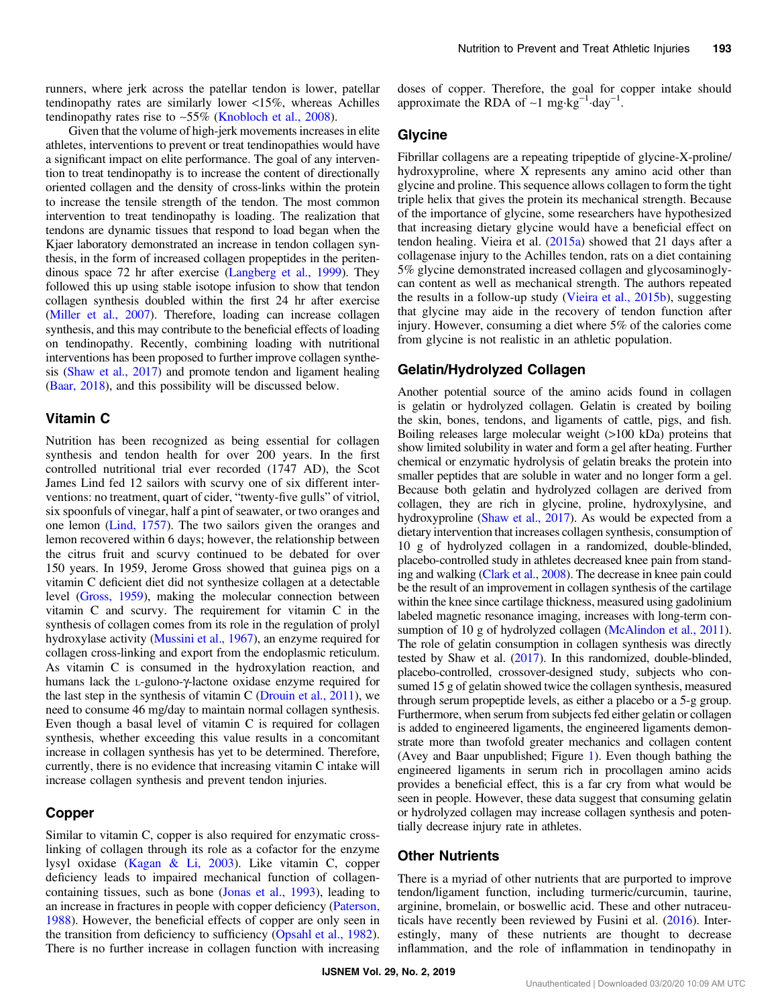runners, where jerk across the patellar tendon is lower, patellar tendinopathy rates are similarly lower <15%, whereas Achilles tendinopathy rates rise to ∼55% ([Knobloch et al., 2008](#page-7-0)).

Given that the volume of high-jerk movements increases in elite athletes, interventions to prevent or treat tendinopathies would have a significant impact on elite performance. The goal of any intervention to treat tendinopathy is to increase the content of directionally oriented collagen and the density of cross-links within the protein to increase the tensile strength of the tendon. The most common intervention to treat tendinopathy is loading. The realization that tendons are dynamic tissues that respond to load began when the Kjaer laboratory demonstrated an increase in tendon collagen synthesis, in the form of increased collagen propeptides in the peritendinous space 72 hr after exercise [\(Langberg et al., 1999\)](#page-7-0). They followed this up using stable isotope infusion to show that tendon collagen synthesis doubled within the first 24 hr after exercise [\(Miller et al., 2007](#page-8-0)). Therefore, loading can increase collagen synthesis, and this may contribute to the beneficial effects of loading on tendinopathy. Recently, combining loading with nutritional interventions has been proposed to further improve collagen synthesis [\(Shaw et al., 2017](#page-9-0)) and promote tendon and ligament healing [\(Baar, 2018\)](#page-6-0), and this possibility will be discussed below.

#### Vitamin C

Nutrition has been recognized as being essential for collagen synthesis and tendon health for over 200 years. In the first controlled nutritional trial ever recorded (1747 AD), the Scot James Lind fed 12 sailors with scurvy one of six different interventions: no treatment, quart of cider, "twenty-five gulls" of vitriol, six spoonfuls of vinegar, half a pint of seawater, or two oranges and one lemon [\(Lind, 1757](#page-8-0)). The two sailors given the oranges and lemon recovered within 6 days; however, the relationship between the citrus fruit and scurvy continued to be debated for over 150 years. In 1959, Jerome Gross showed that guinea pigs on a vitamin C deficient diet did not synthesize collagen at a detectable level [\(Gross, 1959\)](#page-7-0), making the molecular connection between vitamin C and scurvy. The requirement for vitamin C in the synthesis of collagen comes from its role in the regulation of prolyl hydroxylase activity [\(Mussini et al., 1967](#page-8-0)), an enzyme required for collagen cross-linking and export from the endoplasmic reticulum. As vitamin C is consumed in the hydroxylation reaction, and humans lack the L-gulono-γ-lactone oxidase enzyme required for the last step in the synthesis of vitamin C ([Drouin et al., 2011](#page-7-0)), we need to consume 46 mg/day to maintain normal collagen synthesis. Even though a basal level of vitamin C is required for collagen synthesis, whether exceeding this value results in a concomitant increase in collagen synthesis has yet to be determined. Therefore, currently, there is no evidence that increasing vitamin C intake will increase collagen synthesis and prevent tendon injuries.

### Copper

Similar to vitamin C, copper is also required for enzymatic crosslinking of collagen through its role as a cofactor for the enzyme lysyl oxidase [\(Kagan & Li, 2003](#page-7-0)). Like vitamin C, copper deficiency leads to impaired mechanical function of collagencontaining tissues, such as bone [\(Jonas et al., 1993\)](#page-7-0), leading to an increase in fractures in people with copper deficiency [\(Paterson,](#page-8-0) [1988](#page-8-0)). However, the beneficial effects of copper are only seen in the transition from deficiency to sufficiency [\(Opsahl et al., 1982](#page-8-0)). There is no further increase in collagen function with increasing

doses of copper. Therefore, the goal for copper intake should approximate the RDA of ~1 mg⋅kg<sup>-1</sup>⋅day<sup>-1</sup>.

#### Glycine

Fibrillar collagens are a repeating tripeptide of glycine-X-proline/ hydroxyproline, where X represents any amino acid other than glycine and proline. This sequence allows collagen to form the tight triple helix that gives the protein its mechanical strength. Because of the importance of glycine, some researchers have hypothesized that increasing dietary glycine would have a beneficial effect on tendon healing. Vieira et al.  $(2015a)$  $(2015a)$  $(2015a)$  showed that 21 days after a collagenase injury to the Achilles tendon, rats on a diet containing 5% glycine demonstrated increased collagen and glycosaminoglycan content as well as mechanical strength. The authors repeated the results in a follow-up study [\(Vieira et al., 2015b\)](#page-9-0), suggesting that glycine may aide in the recovery of tendon function after injury. However, consuming a diet where 5% of the calories come from glycine is not realistic in an athletic population.

#### Gelatin/Hydrolyzed Collagen

Another potential source of the amino acids found in collagen is gelatin or hydrolyzed collagen. Gelatin is created by boiling the skin, bones, tendons, and ligaments of cattle, pigs, and fish. Boiling releases large molecular weight (>100 kDa) proteins that show limited solubility in water and form a gel after heating. Further chemical or enzymatic hydrolysis of gelatin breaks the protein into smaller peptides that are soluble in water and no longer form a gel. Because both gelatin and hydrolyzed collagen are derived from collagen, they are rich in glycine, proline, hydroxylysine, and hydroxyproline [\(Shaw et al., 2017\)](#page-9-0). As would be expected from a dietary intervention that increases collagen synthesis, consumption of 10 g of hydrolyzed collagen in a randomized, double-blinded, placebo-controlled study in athletes decreased knee pain from standing and walking [\(Clark et al., 2008\)](#page-7-0). The decrease in knee pain could be the result of an improvement in collagen synthesis of the cartilage within the knee since cartilage thickness, measured using gadolinium labeled magnetic resonance imaging, increases with long-term con-sumption of 10 g of hydrolyzed collagen [\(McAlindon et al., 2011](#page-8-0)). The role of gelatin consumption in collagen synthesis was directly tested by Shaw et al. [\(2017\)](#page-9-0). In this randomized, double-blinded, placebo-controlled, crossover-designed study, subjects who consumed 15 g of gelatin showed twice the collagen synthesis, measured through serum propeptide levels, as either a placebo or a 5-g group. Furthermore, when serum from subjects fed either gelatin or collagen is added to engineered ligaments, the engineered ligaments demonstrate more than twofold greater mechanics and collagen content (Avey and Baar unpublished; Figure [1\)](#page-6-0). Even though bathing the engineered ligaments in serum rich in procollagen amino acids provides a beneficial effect, this is a far cry from what would be seen in people. However, these data suggest that consuming gelatin or hydrolyzed collagen may increase collagen synthesis and potentially decrease injury rate in athletes.

#### Other Nutrients

There is a myriad of other nutrients that are purported to improve tendon/ligament function, including turmeric/curcumin, taurine, arginine, bromelain, or boswellic acid. These and other nutraceuticals have recently been reviewed by Fusini et al. [\(2016](#page-7-0)). Interestingly, many of these nutrients are thought to decrease inflammation, and the role of inflammation in tendinopathy in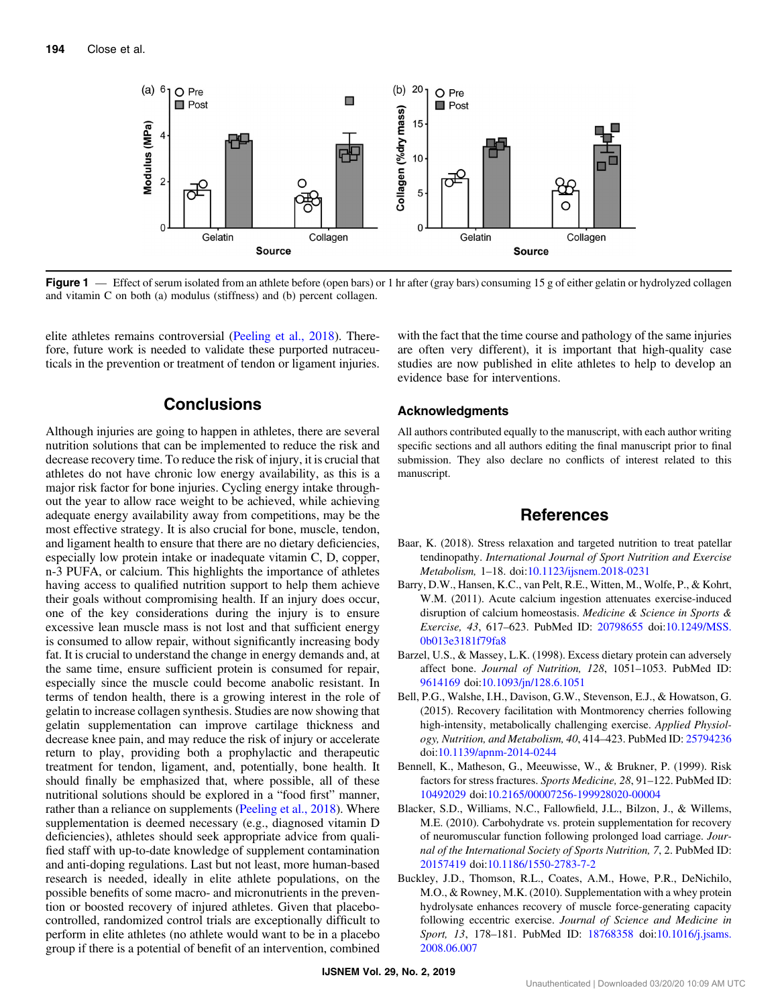<span id="page-6-0"></span>

Figure 1 — Effect of serum isolated from an athlete before (open bars) or 1 hr after (gray bars) consuming 15 g of either gelatin or hydrolyzed collagen and vitamin C on both (a) modulus (stiffness) and (b) percent collagen.

elite athletes remains controversial ([Peeling et al., 2018](#page-8-0)). Therefore, future work is needed to validate these purported nutraceuticals in the prevention or treatment of tendon or ligament injuries.

## **Conclusions**

Although injuries are going to happen in athletes, there are several nutrition solutions that can be implemented to reduce the risk and decrease recovery time. To reduce the risk of injury, it is crucial that athletes do not have chronic low energy availability, as this is a major risk factor for bone injuries. Cycling energy intake throughout the year to allow race weight to be achieved, while achieving adequate energy availability away from competitions, may be the most effective strategy. It is also crucial for bone, muscle, tendon, and ligament health to ensure that there are no dietary deficiencies, especially low protein intake or inadequate vitamin C, D, copper, n-3 PUFA, or calcium. This highlights the importance of athletes having access to qualified nutrition support to help them achieve their goals without compromising health. If an injury does occur, one of the key considerations during the injury is to ensure excessive lean muscle mass is not lost and that sufficient energy is consumed to allow repair, without significantly increasing body fat. It is crucial to understand the change in energy demands and, at the same time, ensure sufficient protein is consumed for repair, especially since the muscle could become anabolic resistant. In terms of tendon health, there is a growing interest in the role of gelatin to increase collagen synthesis. Studies are now showing that gelatin supplementation can improve cartilage thickness and decrease knee pain, and may reduce the risk of injury or accelerate return to play, providing both a prophylactic and therapeutic treatment for tendon, ligament, and, potentially, bone health. It should finally be emphasized that, where possible, all of these nutritional solutions should be explored in a "food first" manner, rather than a reliance on supplements ([Peeling et al., 2018\)](#page-8-0). Where supplementation is deemed necessary (e.g., diagnosed vitamin D deficiencies), athletes should seek appropriate advice from qualified staff with up-to-date knowledge of supplement contamination and anti-doping regulations. Last but not least, more human-based research is needed, ideally in elite athlete populations, on the possible benefits of some macro- and micronutrients in the prevention or boosted recovery of injured athletes. Given that placebocontrolled, randomized control trials are exceptionally difficult to perform in elite athletes (no athlete would want to be in a placebo group if there is a potential of benefit of an intervention, combined with the fact that the time course and pathology of the same injuries are often very different), it is important that high-quality case studies are now published in elite athletes to help to develop an evidence base for interventions.

#### Acknowledgments

All authors contributed equally to the manuscript, with each author writing specific sections and all authors editing the final manuscript prior to final submission. They also declare no conflicts of interest related to this manuscript.

#### References

- Baar, K. (2018). Stress relaxation and targeted nutrition to treat patellar tendinopathy. International Journal of Sport Nutrition and Exercise Metabolism, 1–18. doi[:10.1123/ijsnem.2018-0231](https://doi.org/10.1123/ijsnem.2018-0231)
- Barry, D.W., Hansen, K.C., van Pelt, R.E., Witten, M., Wolfe, P., & Kohrt, W.M. (2011). Acute calcium ingestion attenuates exercise-induced disruption of calcium homeostasis. Medicine & Science in Sports & Exercise, 43, 617–623. PubMed ID: [20798655](http://www.ncbi.nlm.nih.gov/pubmed/20798655?dopt=Abstract) doi[:10.1249/MSS.](https://doi.org/10.1249/MSS.0b013e3181f79fa8) [0b013e3181f79fa8](https://doi.org/10.1249/MSS.0b013e3181f79fa8)
- Barzel, U.S., & Massey, L.K. (1998). Excess dietary protein can adversely affect bone. Journal of Nutrition, 128, 1051–1053. PubMed ID: [9614169](http://www.ncbi.nlm.nih.gov/pubmed/9614169?dopt=Abstract) doi[:10.1093/jn/128.6.1051](https://doi.org/10.1093/jn/128.6.1051)
- Bell, P.G., Walshe, I.H., Davison, G.W., Stevenson, E.J., & Howatson, G. (2015). Recovery facilitation with Montmorency cherries following high-intensity, metabolically challenging exercise. Applied Physiology, Nutrition, and Metabolism, 40, 414–423. PubMed ID: [25794236](http://www.ncbi.nlm.nih.gov/pubmed/25794236?dopt=Abstract) doi:[10.1139/apnm-2014-0244](https://doi.org/10.1139/apnm-2014-0244)
- Bennell, K., Matheson, G., Meeuwisse, W., & Brukner, P. (1999). Risk factors for stress fractures. Sports Medicine, 28, 91–122. PubMed ID: [10492029](http://www.ncbi.nlm.nih.gov/pubmed/10492029?dopt=Abstract) doi:[10.2165/00007256-199928020-00004](https://doi.org/10.2165/00007256-199928020-00004)
- Blacker, S.D., Williams, N.C., Fallowfield, J.L., Bilzon, J., & Willems, M.E. (2010). Carbohydrate vs. protein supplementation for recovery of neuromuscular function following prolonged load carriage. Journal of the International Society of Sports Nutrition, 7, 2. PubMed ID: [20157419](http://www.ncbi.nlm.nih.gov/pubmed/20157419?dopt=Abstract) doi:[10.1186/1550-2783-7-2](https://doi.org/10.1186/1550-2783-7-2)
- Buckley, J.D., Thomson, R.L., Coates, A.M., Howe, P.R., DeNichilo, M.O., & Rowney, M.K. (2010). Supplementation with a whey protein hydrolysate enhances recovery of muscle force-generating capacity following eccentric exercise. Journal of Science and Medicine in Sport, 13, 178-181. PubMed ID: [18768358](http://www.ncbi.nlm.nih.gov/pubmed/18768358?dopt=Abstract) doi[:10.1016/j.jsams.](https://doi.org/10.1016/j.jsams.2008.06.007) [2008.06.007](https://doi.org/10.1016/j.jsams.2008.06.007)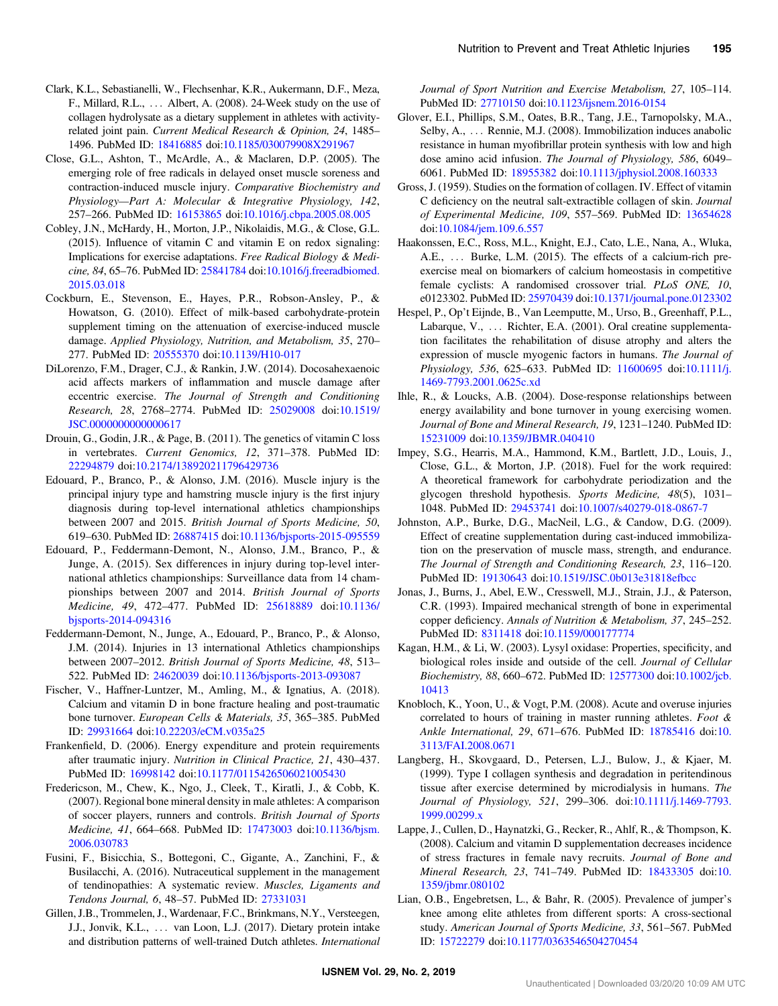- <span id="page-7-0"></span>Clark, K.L., Sebastianelli, W., Flechsenhar, K.R., Aukermann, D.F., Meza, F., Millard, R.L., ::: Albert, A. (2008). 24-Week study on the use of collagen hydrolysate as a dietary supplement in athletes with activityrelated joint pain. Current Medical Research & Opinion, 24, 1485– 1496. PubMed ID: [18416885](http://www.ncbi.nlm.nih.gov/pubmed/18416885?dopt=Abstract) doi:[10.1185/030079908X291967](https://doi.org/10.1185/030079908X291967)
- Close, G.L., Ashton, T., McArdle, A., & Maclaren, D.P. (2005). The emerging role of free radicals in delayed onset muscle soreness and contraction-induced muscle injury. Comparative Biochemistry and Physiology—Part A: Molecular & Integrative Physiology, 142, 257–266. PubMed ID: [16153865](http://www.ncbi.nlm.nih.gov/pubmed/16153865?dopt=Abstract) doi:[10.1016/j.cbpa.2005.08.005](https://doi.org/10.1016/j.cbpa.2005.08.005)
- Cobley, J.N., McHardy, H., Morton, J.P., Nikolaidis, M.G., & Close, G.L. (2015). Influence of vitamin C and vitamin E on redox signaling: Implications for exercise adaptations. Free Radical Biology & Medicine, 84, 65–76. PubMed ID: [25841784](http://www.ncbi.nlm.nih.gov/pubmed/25841784?dopt=Abstract) doi:[10.1016/j.freeradbiomed.](https://doi.org/10.1016/j.freeradbiomed.2015.03.018) [2015.03.018](https://doi.org/10.1016/j.freeradbiomed.2015.03.018)
- Cockburn, E., Stevenson, E., Hayes, P.R., Robson-Ansley, P., & Howatson, G. (2010). Effect of milk-based carbohydrate-protein supplement timing on the attenuation of exercise-induced muscle damage. Applied Physiology, Nutrition, and Metabolism, 35, 270– 277. PubMed ID: [20555370](http://www.ncbi.nlm.nih.gov/pubmed/20555370?dopt=Abstract) doi:[10.1139/H10-017](https://doi.org/10.1139/H10-017)
- DiLorenzo, F.M., Drager, C.J., & Rankin, J.W. (2014). Docosahexaenoic acid affects markers of inflammation and muscle damage after eccentric exercise. The Journal of Strength and Conditioning Research, 28, 2768–2774. PubMed ID: [25029008](http://www.ncbi.nlm.nih.gov/pubmed/25029008?dopt=Abstract) doi[:10.1519/](https://doi.org/10.1519/JSC.0000000000000617) [JSC.0000000000000617](https://doi.org/10.1519/JSC.0000000000000617)
- Drouin, G., Godin, J.R., & Page, B. (2011). The genetics of vitamin C loss in vertebrates. Current Genomics, 12, 371–378. PubMed ID: [22294879](http://www.ncbi.nlm.nih.gov/pubmed/22294879?dopt=Abstract) doi:[10.2174/138920211796429736](https://doi.org/10.2174/138920211796429736)
- Edouard, P., Branco, P., & Alonso, J.M. (2016). Muscle injury is the principal injury type and hamstring muscle injury is the first injury diagnosis during top-level international athletics championships between 2007 and 2015. British Journal of Sports Medicine, 50, 619–630. PubMed ID: [26887415](http://www.ncbi.nlm.nih.gov/pubmed/26887415?dopt=Abstract) doi[:10.1136/bjsports-2015-095559](https://doi.org/10.1136/bjsports-2015-095559)
- Edouard, P., Feddermann-Demont, N., Alonso, J.M., Branco, P., & Junge, A. (2015). Sex differences in injury during top-level international athletics championships: Surveillance data from 14 championships between 2007 and 2014. British Journal of Sports Medicine, 49, 472–477. PubMed ID: [25618889](http://www.ncbi.nlm.nih.gov/pubmed/25618889?dopt=Abstract) doi:[10.1136/](https://doi.org/10.1136/bjsports-2014-094316) [bjsports-2014-094316](https://doi.org/10.1136/bjsports-2014-094316)
- Feddermann-Demont, N., Junge, A., Edouard, P., Branco, P., & Alonso, J.M. (2014). Injuries in 13 international Athletics championships between 2007–2012. British Journal of Sports Medicine, 48, 513– 522. PubMed ID: [24620039](http://www.ncbi.nlm.nih.gov/pubmed/24620039?dopt=Abstract) doi:[10.1136/bjsports-2013-093087](https://doi.org/10.1136/bjsports-2013-093087)
- Fischer, V., Haffner-Luntzer, M., Amling, M., & Ignatius, A. (2018). Calcium and vitamin D in bone fracture healing and post-traumatic bone turnover. European Cells & Materials, 35, 365–385. PubMed ID: [29931664](http://www.ncbi.nlm.nih.gov/pubmed/29931664?dopt=Abstract) doi[:10.22203/eCM.v035a25](https://doi.org/10.22203/eCM.v035a25)
- Frankenfield, D. (2006). Energy expenditure and protein requirements after traumatic injury. Nutrition in Clinical Practice, 21, 430–437. PubMed ID: [16998142](http://www.ncbi.nlm.nih.gov/pubmed/16998142?dopt=Abstract) doi:[10.1177/0115426506021005430](https://doi.org/10.1177/0115426506021005430)
- Fredericson, M., Chew, K., Ngo, J., Cleek, T., Kiratli, J., & Cobb, K. (2007). Regional bone mineral density in male athletes: A comparison of soccer players, runners and controls. British Journal of Sports Medicine, 41, 664–668. PubMed ID: [17473003](http://www.ncbi.nlm.nih.gov/pubmed/17473003?dopt=Abstract) doi:[10.1136/bjsm.](https://doi.org/10.1136/bjsm.2006.030783) [2006.030783](https://doi.org/10.1136/bjsm.2006.030783)
- Fusini, F., Bisicchia, S., Bottegoni, C., Gigante, A., Zanchini, F., & Busilacchi, A. (2016). Nutraceutical supplement in the management of tendinopathies: A systematic review. Muscles, Ligaments and Tendons Journal, 6, 48–57. PubMed ID: [27331031](http://www.ncbi.nlm.nih.gov/pubmed/27331031?dopt=Abstract)
- Gillen, J.B., Trommelen, J., Wardenaar, F.C., Brinkmans, N.Y., Versteegen, J.J., Jonvik, K.L., ... van Loon, L.J. (2017). Dietary protein intake and distribution patterns of well-trained Dutch athletes. International

Journal of Sport Nutrition and Exercise Metabolism, 27, 105–114. PubMed ID: [27710150](http://www.ncbi.nlm.nih.gov/pubmed/27710150?dopt=Abstract) doi[:10.1123/ijsnem.2016-0154](https://doi.org/10.1123/ijsnem.2016-0154)

- Glover, E.I., Phillips, S.M., Oates, B.R., Tang, J.E., Tarnopolsky, M.A., Selby, A., ... Rennie, M.J. (2008). Immobilization induces anabolic resistance in human myofibrillar protein synthesis with low and high dose amino acid infusion. The Journal of Physiology, 586, 6049– 6061. PubMed ID: [18955382](http://www.ncbi.nlm.nih.gov/pubmed/18955382?dopt=Abstract) doi[:10.1113/jphysiol.2008.160333](https://doi.org/10.1113/jphysiol.2008.160333)
- Gross, J. (1959). Studies on the formation of collagen. IV. Effect of vitamin C deficiency on the neutral salt-extractible collagen of skin. Journal of Experimental Medicine, 109, 557–569. PubMed ID: [13654628](http://www.ncbi.nlm.nih.gov/pubmed/13654628?dopt=Abstract) doi:[10.1084/jem.109.6.557](https://doi.org/10.1084/jem.109.6.557)
- Haakonssen, E.C., Ross, M.L., Knight, E.J., Cato, L.E., Nana, A., Wluka, A.E., ... Burke, L.M. (2015). The effects of a calcium-rich preexercise meal on biomarkers of calcium homeostasis in competitive female cyclists: A randomised crossover trial. PLoS ONE, 10, e0123302. PubMed ID: [25970439](http://www.ncbi.nlm.nih.gov/pubmed/25970439?dopt=Abstract) doi[:10.1371/journal.pone.0123302](https://doi.org/10.1371/journal.pone.0123302)
- Hespel, P., Op't Eijnde, B., Van Leemputte, M., Urso, B., Greenhaff, P.L., Labarque, V., ... Richter, E.A. (2001). Oral creatine supplementation facilitates the rehabilitation of disuse atrophy and alters the expression of muscle myogenic factors in humans. The Journal of Physiology, 536, 625–633. PubMed ID: [11600695](http://www.ncbi.nlm.nih.gov/pubmed/11600695?dopt=Abstract) doi:[10.1111/j.](https://doi.org/10.1111/j.1469-7793.2001.0625c.xd) [1469-7793.2001.0625c.xd](https://doi.org/10.1111/j.1469-7793.2001.0625c.xd)
- Ihle, R., & Loucks, A.B. (2004). Dose-response relationships between energy availability and bone turnover in young exercising women. Journal of Bone and Mineral Research, 19, 1231–1240. PubMed ID: [15231009](http://www.ncbi.nlm.nih.gov/pubmed/15231009?dopt=Abstract) doi:[10.1359/JBMR.040410](https://doi.org/10.1359/JBMR.040410)
- Impey, S.G., Hearris, M.A., Hammond, K.M., Bartlett, J.D., Louis, J., Close, G.L., & Morton, J.P. (2018). Fuel for the work required: A theoretical framework for carbohydrate periodization and the glycogen threshold hypothesis. Sports Medicine, 48(5), 1031– 1048. PubMed ID: [29453741](http://www.ncbi.nlm.nih.gov/pubmed/29453741?dopt=Abstract) doi[:10.1007/s40279-018-0867-7](https://doi.org/10.1007/s40279-018-0867-7)
- Johnston, A.P., Burke, D.G., MacNeil, L.G., & Candow, D.G. (2009). Effect of creatine supplementation during cast-induced immobilization on the preservation of muscle mass, strength, and endurance. The Journal of Strength and Conditioning Research, 23, 116–120. PubMed ID: [19130643](http://www.ncbi.nlm.nih.gov/pubmed/19130643?dopt=Abstract) doi:[10.1519/JSC.0b013e31818efbcc](https://doi.org/10.1519/JSC.0b013e31818efbcc)
- Jonas, J., Burns, J., Abel, E.W., Cresswell, M.J., Strain, J.J., & Paterson, C.R. (1993). Impaired mechanical strength of bone in experimental copper deficiency. Annals of Nutrition & Metabolism, 37, 245–252. PubMed ID: [8311418](http://www.ncbi.nlm.nih.gov/pubmed/8311418?dopt=Abstract) doi[:10.1159/000177774](https://doi.org/10.1159/000177774)
- Kagan, H.M., & Li, W. (2003). Lysyl oxidase: Properties, specificity, and biological roles inside and outside of the cell. Journal of Cellular Biochemistry, 88, 660–672. PubMed ID: [12577300](http://www.ncbi.nlm.nih.gov/pubmed/12577300?dopt=Abstract) doi[:10.1002/jcb.](https://doi.org/10.1002/jcb.10413) [10413](https://doi.org/10.1002/jcb.10413)
- Knobloch, K., Yoon, U., & Vogt, P.M. (2008). Acute and overuse injuries correlated to hours of training in master running athletes. Foot & Ankle International, 29, 671–676. PubMed ID: [18785416](http://www.ncbi.nlm.nih.gov/pubmed/18785416?dopt=Abstract) doi:[10.](https://doi.org/10.3113/FAI.2008.0671) [3113/FAI.2008.0671](https://doi.org/10.3113/FAI.2008.0671)
- Langberg, H., Skovgaard, D., Petersen, L.J., Bulow, J., & Kjaer, M. (1999). Type I collagen synthesis and degradation in peritendinous tissue after exercise determined by microdialysis in humans. The Journal of Physiology, 521, 299–306. doi:[10.1111/j.1469-7793.](https://doi.org/10.1111/j.1469-7793.1999.00299.x) [1999.00299.x](https://doi.org/10.1111/j.1469-7793.1999.00299.x)
- Lappe, J., Cullen, D., Haynatzki, G., Recker, R., Ahlf, R., & Thompson, K. (2008). Calcium and vitamin D supplementation decreases incidence of stress fractures in female navy recruits. Journal of Bone and Mineral Research, 23, 741–749. PubMed ID: [18433305](http://www.ncbi.nlm.nih.gov/pubmed/18433305?dopt=Abstract) doi:[10.](https://doi.org/10.1359/jbmr.080102) [1359/jbmr.080102](https://doi.org/10.1359/jbmr.080102)
- Lian, O.B., Engebretsen, L., & Bahr, R. (2005). Prevalence of jumper's knee among elite athletes from different sports: A cross-sectional study. American Journal of Sports Medicine, 33, 561–567. PubMed ID: [15722279](http://www.ncbi.nlm.nih.gov/pubmed/15722279?dopt=Abstract) doi[:10.1177/0363546504270454](https://doi.org/10.1177/0363546504270454)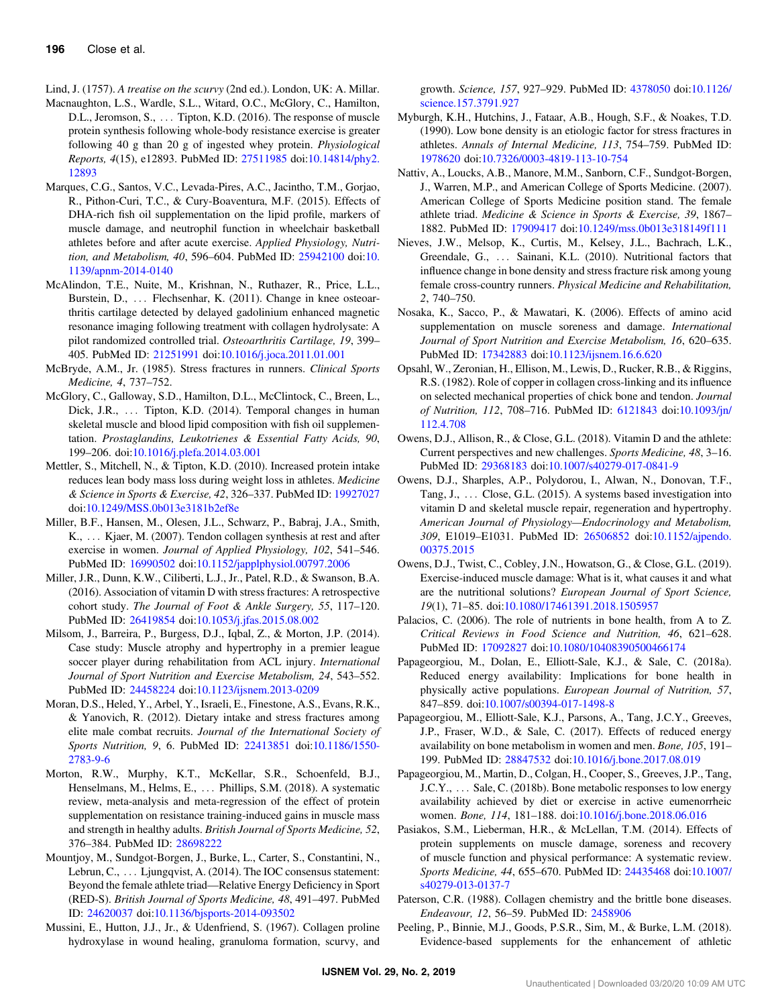- <span id="page-8-0"></span>Lind, J. (1757). A treatise on the scurvy (2nd ed.). London, UK: A. Millar.
- Macnaughton, L.S., Wardle, S.L., Witard, O.C., McGlory, C., Hamilton, D.L., Jeromson, S., ... Tipton, K.D. (2016). The response of muscle protein synthesis following whole-body resistance exercise is greater following 40 g than 20 g of ingested whey protein. Physiological Reports, 4(15), e12893. PubMed ID: [27511985](http://www.ncbi.nlm.nih.gov/pubmed/27511985?dopt=Abstract) doi:[10.14814/phy2.](https://doi.org/10.14814/phy2.12893) [12893](https://doi.org/10.14814/phy2.12893)
- Marques, C.G., Santos, V.C., Levada-Pires, A.C., Jacintho, T.M., Gorjao, R., Pithon-Curi, T.C., & Cury-Boaventura, M.F. (2015). Effects of DHA-rich fish oil supplementation on the lipid profile, markers of muscle damage, and neutrophil function in wheelchair basketball athletes before and after acute exercise. Applied Physiology, Nutrition, and Metabolism, 40, 596–604. PubMed ID: [25942100](http://www.ncbi.nlm.nih.gov/pubmed/25942100?dopt=Abstract) doi:[10.](https://doi.org/10.1139/apnm-2014-0140) [1139/apnm-2014-0140](https://doi.org/10.1139/apnm-2014-0140)
- McAlindon, T.E., Nuite, M., Krishnan, N., Ruthazer, R., Price, L.L., Burstein, D., ... Flechsenhar, K. (2011). Change in knee osteoarthritis cartilage detected by delayed gadolinium enhanced magnetic resonance imaging following treatment with collagen hydrolysate: A pilot randomized controlled trial. Osteoarthritis Cartilage, 19, 399– 405. PubMed ID: [21251991](http://www.ncbi.nlm.nih.gov/pubmed/21251991?dopt=Abstract) doi:[10.1016/j.joca.2011.01.001](https://doi.org/10.1016/j.joca.2011.01.001)
- McBryde, A.M., Jr. (1985). Stress fractures in runners. Clinical Sports Medicine, 4, 737–752.
- McGlory, C., Galloway, S.D., Hamilton, D.L., McClintock, C., Breen, L., Dick, J.R., ... Tipton, K.D. (2014). Temporal changes in human skeletal muscle and blood lipid composition with fish oil supplementation. Prostaglandins, Leukotrienes & Essential Fatty Acids, 90, 199–206. doi[:10.1016/j.plefa.2014.03.001](https://doi.org/10.1016/j.plefa.2014.03.001)
- Mettler, S., Mitchell, N., & Tipton, K.D. (2010). Increased protein intake reduces lean body mass loss during weight loss in athletes. Medicine & Science in Sports & Exercise, 42, 326–337. PubMed ID: [19927027](http://www.ncbi.nlm.nih.gov/pubmed/19927027?dopt=Abstract) doi:[10.1249/MSS.0b013e3181b2ef8e](https://doi.org/10.1249/MSS.0b013e3181b2ef8e)
- Miller, B.F., Hansen, M., Olesen, J.L., Schwarz, P., Babraj, J.A., Smith, K., ... Kjaer, M. (2007). Tendon collagen synthesis at rest and after exercise in women. Journal of Applied Physiology, 102, 541–546. PubMed ID: [16990502](http://www.ncbi.nlm.nih.gov/pubmed/16990502?dopt=Abstract) doi:[10.1152/japplphysiol.00797.2006](https://doi.org/10.1152/japplphysiol.00797.2006)
- Miller, J.R., Dunn, K.W., Ciliberti, L.J., Jr., Patel, R.D., & Swanson, B.A. (2016). Association of vitamin D with stress fractures: A retrospective cohort study. The Journal of Foot & Ankle Surgery, 55, 117–120. PubMed ID: [26419854](http://www.ncbi.nlm.nih.gov/pubmed/26419854?dopt=Abstract) doi:[10.1053/j.jfas.2015.08.002](https://doi.org/10.1053/j.jfas.2015.08.002)
- Milsom, J., Barreira, P., Burgess, D.J., Iqbal, Z., & Morton, J.P. (2014). Case study: Muscle atrophy and hypertrophy in a premier league soccer player during rehabilitation from ACL injury. International Journal of Sport Nutrition and Exercise Metabolism, 24, 543–552. PubMed ID: [24458224](http://www.ncbi.nlm.nih.gov/pubmed/24458224?dopt=Abstract) doi:[10.1123/ijsnem.2013-0209](https://doi.org/10.1123/ijsnem.2013-0209)
- Moran, D.S., Heled, Y., Arbel, Y., Israeli, E., Finestone, A.S., Evans, R.K., & Yanovich, R. (2012). Dietary intake and stress fractures among elite male combat recruits. Journal of the International Society of Sports Nutrition, 9, 6. PubMed ID: [22413851](http://www.ncbi.nlm.nih.gov/pubmed/22413851?dopt=Abstract) doi[:10.1186/1550-](https://doi.org/10.1186/1550-2783-9-6) [2783-9-6](https://doi.org/10.1186/1550-2783-9-6)
- Morton, R.W., Murphy, K.T., McKellar, S.R., Schoenfeld, B.J., Henselmans, M., Helms, E., ::: Phillips, S.M. (2018). A systematic review, meta-analysis and meta-regression of the effect of protein supplementation on resistance training-induced gains in muscle mass and strength in healthy adults. British Journal of Sports Medicine, 52, 376–384. PubMed ID: [28698222](http://www.ncbi.nlm.nih.gov/pubmed/28698222?dopt=Abstract)
- Mountjoy, M., Sundgot-Borgen, J., Burke, L., Carter, S., Constantini, N., Lebrun, C.,  $\dots$  Ljungqvist, A. (2014). The IOC consensus statement: Beyond the female athlete triad—Relative Energy Deficiency in Sport (RED-S). British Journal of Sports Medicine, 48, 491–497. PubMed ID: [24620037](http://www.ncbi.nlm.nih.gov/pubmed/24620037?dopt=Abstract) doi[:10.1136/bjsports-2014-093502](https://doi.org/10.1136/bjsports-2014-093502)
- Mussini, E., Hutton, J.J., Jr., & Udenfriend, S. (1967). Collagen proline hydroxylase in wound healing, granuloma formation, scurvy, and

growth. Science, 157, 927–929. PubMed ID: [4378050](http://www.ncbi.nlm.nih.gov/pubmed/4378050?dopt=Abstract) doi[:10.1126/](https://doi.org/10.1126/science.157.3791.927) [science.157.3791.927](https://doi.org/10.1126/science.157.3791.927)

- Myburgh, K.H., Hutchins, J., Fataar, A.B., Hough, S.F., & Noakes, T.D. (1990). Low bone density is an etiologic factor for stress fractures in athletes. Annals of Internal Medicine, 113, 754–759. PubMed ID: [1978620](http://www.ncbi.nlm.nih.gov/pubmed/1978620?dopt=Abstract) doi[:10.7326/0003-4819-113-10-754](https://doi.org/10.7326/0003-4819-113-10-754)
- Nattiv, A., Loucks, A.B., Manore, M.M., Sanborn, C.F., Sundgot-Borgen, J., Warren, M.P., and American College of Sports Medicine. (2007). American College of Sports Medicine position stand. The female athlete triad. Medicine & Science in Sports & Exercise, 39, 1867– 1882. PubMed ID: [17909417](http://www.ncbi.nlm.nih.gov/pubmed/17909417?dopt=Abstract) doi[:10.1249/mss.0b013e318149f111](https://doi.org/10.1249/mss.0b013e318149f111)
- Nieves, J.W., Melsop, K., Curtis, M., Kelsey, J.L., Bachrach, L.K., Greendale, G., ::: Sainani, K.L. (2010). Nutritional factors that influence change in bone density and stress fracture risk among young female cross-country runners. Physical Medicine and Rehabilitation, 2, 740–750.
- Nosaka, K., Sacco, P., & Mawatari, K. (2006). Effects of amino acid supplementation on muscle soreness and damage. International Journal of Sport Nutrition and Exercise Metabolism, 16, 620–635. PubMed ID: [17342883](http://www.ncbi.nlm.nih.gov/pubmed/17342883?dopt=Abstract) doi:[10.1123/ijsnem.16.6.620](https://doi.org/10.1123/ijsnem.16.6.620)
- Opsahl, W., Zeronian, H., Ellison, M., Lewis, D., Rucker, R.B., & Riggins, R.S. (1982). Role of copper in collagen cross-linking and its influence on selected mechanical properties of chick bone and tendon. Journal of Nutrition, 112, 708–716. PubMed ID: [6121843](http://www.ncbi.nlm.nih.gov/pubmed/6121843?dopt=Abstract) doi:[10.1093/jn/](https://doi.org/10.1093/jn/112.4.708) [112.4.708](https://doi.org/10.1093/jn/112.4.708)
- Owens, D.J., Allison, R., & Close, G.L. (2018). Vitamin D and the athlete: Current perspectives and new challenges. Sports Medicine, 48, 3–16. PubMed ID: [29368183](http://www.ncbi.nlm.nih.gov/pubmed/29368183?dopt=Abstract) doi:[10.1007/s40279-017-0841-9](https://doi.org/10.1007/s40279-017-0841-9)
- Owens, D.J., Sharples, A.P., Polydorou, I., Alwan, N., Donovan, T.F., Tang, J., ... Close, G.L. (2015). A systems based investigation into vitamin D and skeletal muscle repair, regeneration and hypertrophy. American Journal of Physiology—Endocrinology and Metabolism, 309, E1019–E1031. PubMed ID: [26506852](http://www.ncbi.nlm.nih.gov/pubmed/26506852?dopt=Abstract) doi:[10.1152/ajpendo.](https://doi.org/10.1152/ajpendo.00375.2015) [00375.2015](https://doi.org/10.1152/ajpendo.00375.2015)
- Owens, D.J., Twist, C., Cobley, J.N., Howatson, G., & Close, G.L. (2019). Exercise-induced muscle damage: What is it, what causes it and what are the nutritional solutions? European Journal of Sport Science, 19(1), 71–85. doi:[10.1080/17461391.2018.1505957](https://doi.org/10.1080/17461391.2018.1505957)
- Palacios, C. (2006). The role of nutrients in bone health, from A to Z. Critical Reviews in Food Science and Nutrition, 46, 621–628. PubMed ID: [17092827](http://www.ncbi.nlm.nih.gov/pubmed/17092827?dopt=Abstract) doi:[10.1080/10408390500466174](https://doi.org/10.1080/10408390500466174)
- Papageorgiou, M., Dolan, E., Elliott-Sale, K.J., & Sale, C. (2018a). Reduced energy availability: Implications for bone health in physically active populations. European Journal of Nutrition, 57, 847–859. doi[:10.1007/s00394-017-1498-8](https://doi.org/10.1007/s00394-017-1498-8)
- Papageorgiou, M., Elliott-Sale, K.J., Parsons, A., Tang, J.C.Y., Greeves, J.P., Fraser, W.D., & Sale, C. (2017). Effects of reduced energy availability on bone metabolism in women and men. Bone, 105, 191– 199. PubMed ID: [28847532](http://www.ncbi.nlm.nih.gov/pubmed/28847532?dopt=Abstract) doi:[10.1016/j.bone.2017.08.019](https://doi.org/10.1016/j.bone.2017.08.019)
- Papageorgiou, M., Martin, D., Colgan, H., Cooper, S., Greeves, J.P., Tang, J.C.Y., ... Sale, C. (2018b). Bone metabolic responses to low energy availability achieved by diet or exercise in active eumenorrheic women. Bone, 114, 181–188. doi[:10.1016/j.bone.2018.06.016](https://doi.org/10.1016/j.bone.2018.06.016)
- Pasiakos, S.M., Lieberman, H.R., & McLellan, T.M. (2014). Effects of protein supplements on muscle damage, soreness and recovery of muscle function and physical performance: A systematic review. Sports Medicine, 44, 655–670. PubMed ID: [24435468](http://www.ncbi.nlm.nih.gov/pubmed/24435468?dopt=Abstract) doi[:10.1007/](https://doi.org/10.1007/s40279-013-0137-7) [s40279-013-0137-7](https://doi.org/10.1007/s40279-013-0137-7)
- Paterson, C.R. (1988). Collagen chemistry and the brittle bone diseases. Endeavour, 12, 56–59. PubMed ID: [2458906](http://www.ncbi.nlm.nih.gov/pubmed/2458906?dopt=Abstract)
- Peeling, P., Binnie, M.J., Goods, P.S.R., Sim, M., & Burke, L.M. (2018). Evidence-based supplements for the enhancement of athletic